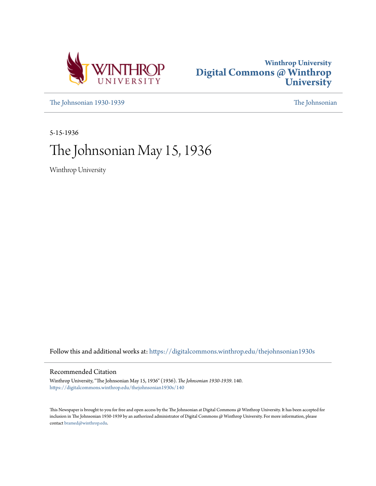



[The Johnsonian 1930-1939](https://digitalcommons.winthrop.edu/thejohnsonian1930s?utm_source=digitalcommons.winthrop.edu%2Fthejohnsonian1930s%2F140&utm_medium=PDF&utm_campaign=PDFCoverPages) [The Johnsonian](https://digitalcommons.winthrop.edu/thejohnsonian_newspaper?utm_source=digitalcommons.winthrop.edu%2Fthejohnsonian1930s%2F140&utm_medium=PDF&utm_campaign=PDFCoverPages)

5-15-1936

# The Johnsonian May 15, 1936

Winthrop University

Follow this and additional works at: [https://digitalcommons.winthrop.edu/thejohnsonian1930s](https://digitalcommons.winthrop.edu/thejohnsonian1930s?utm_source=digitalcommons.winthrop.edu%2Fthejohnsonian1930s%2F140&utm_medium=PDF&utm_campaign=PDFCoverPages)

## Recommended Citation

Winthrop University, "The Johnsonian May 15, 1936" (1936). *The Johnsonian 1930-1939*. 140. [https://digitalcommons.winthrop.edu/thejohnsonian1930s/140](https://digitalcommons.winthrop.edu/thejohnsonian1930s/140?utm_source=digitalcommons.winthrop.edu%2Fthejohnsonian1930s%2F140&utm_medium=PDF&utm_campaign=PDFCoverPages)

This Newspaper is brought to you for free and open access by the The Johnsonian at Digital Commons @ Winthrop University. It has been accepted for inclusion in The Johnsonian 1930-1939 by an authorized administrator of Digital Commons @ Winthrop University. For more information, please contact [bramed@winthrop.edu](mailto:bramed@winthrop.edu).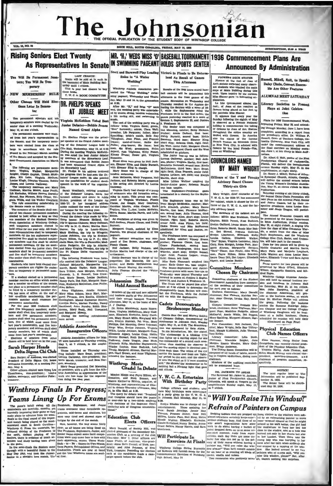# The Johnson

after

enter

PTION, SLOP A TEAR

Dalsy Chain, Concert Ens.

Literary Societies to Pres

Plans for 1936 O

Plays at Joint Celebra-

**1**ion

Plano quartet for two pianos will b resented by Mary O'Dell, Elizabeth

(Continued on Page Pour

Elma Pearson, rising Senior f.

NOTICE NorTegular issue of The Dente results of the published Beptember 18, 1930.<br>The Senior 18, 1930.<br>The Senior Issue will be distributed May 29, 1936.

Club Names Officers

0 cm<br>-ht g

wn

dred Hayer

ble Are Other Features

**ALUMNAE MEET SATURDAY** 

**Announced By Administration** 

## **Rising Seniors Elect Twenty As Representatives In Senate**

Ten Will Re Permanent Se tors; Ten Will Be Temperary

NEW MEMBERSHIP RULE

VOL. 11, NO. 28

Other Classes Will Hold Ele tions Later In Semester

ent op stors and tel **FATY SEDA** tors were elected by the dor class at a meeting Wednesday av 13, at one o'clock.

The permanent members were elec-I from last year's representation is hers were elected from the class a ace with the rub ed in the February-March meetin of the Senale and accepted by the Statent Covernment Association on Marc

The following are permanent members: Virginia Walber, Märguerite Zelgler, Gladys Guyton, Tirrah McAl-plac, Eli Lakt, Virginia McCluen<br>Local Louise Klut, Lakt, Virginia McCluen<br>Louise Klugh, Dimples Thomas, Bobbis<br>Jennes, a

James, and Lorena Galloway.<br>The temporary members are: Mary<br>Gallman, Martha Moore, Anne Pruiti,<br>Lib Kerhulas, Willene Reeves, Dorotly,<br>Strond, Suo Flowers, Sulp Geiger, Vir.<br>Ethiopia (Sub Flowers, Sulp Geiger, Vir.<br>The rul

uise Klugh, Dimpler Theorem is abetic out the possiblic for students from 1- acknoss, and Boberts Marsh premises a Marsh premises a more in the more of the organiza-<br>
a life and correlate the more are Marsh Weakherly, reti ist of two cl nam representatives shall be temporary<br>nam representatives shall be temporary<br>embers. Of the ten sophomore repre-

es,<br>a who have been elected tou<br>embers are eligible for reelec<br>mporary or permanent men

on<br>
ora.<br> **STA a stachard elected as a permanent<br>
STA a stachard exactle and file which makes are a member ex-officio of the senate<br>
rer place as a permanent member shall proposed that<br>**  $\frac{1}{2}$  **for term of office. At the** 

ermanent membership.<br>Por the year 1836 freshmen shall<br>heet five temporary members; sopho-<br>sores shall elect five temporary mem-<br>era and five permanent members; ers and five permant  $n$ jumors some erect ten permanent mest<br>best, five of which must come free<br>last year's membership, and five ten<br>porary members; and seniors shull ele y members, ten of which she me from last year's con nbershi Elections of senators from  $m<sup>th</sup>$ 

uses will be held later on in the yes

#### **Sarah Harper Heads** Delta Sigma Chi Clul

Sara Harper, of Andrews, was elected<br>president of Delta Sigma Chi, home<br>economics fraternity, at a meeting Priday, May 8.

day, May 2.<br>Other officers elected were Erma Lee<br>Thomlinson, vice-president;; Loui-<br>Colims, secretary; and Caroline Pulle:

LAST CHANCE!<br>Books will be sold at it each is<br>the basement of Main Building Bat the house the basement of many summers will also provided to buy **Y. W. C. A. BOOK COMMITTEE IDR. PHELPS SPEAKS** AT JUBILEE MEET

Virginia McKeithen Voted Best

re lead Mary Ultrian Prowell, and the Ultrian Mary China and Anary of the additional Mary Ultrian Province (propriets): Dot Mary Hotel Scheme (province in the Debattra League) propriets): Dot Mary Hotel China Mary China M

#### Athletic Associator **Inaugurates Officers**

Athletic Association officers for 1936.<br>
37 were installed on Thursday evening<br>
May 7, at 7 o'clock, in the amphi-

 $\begin{minipage}{0.03\textwidth} {\small \textbf{B} \textbf{I} \textbf{I}, \textbf{I} \textbf{I}, \textbf{I} \textbf{I} \textbf{I} \textbf{I} \textbf{I} \textbf{I} \textbf{I} \textbf{I} \textbf{I} \textbf{I} \textbf{I} \textbf{I} \textbf{I} \textbf{I} \textbf{I} \textbf{I} \textbf{I} \textbf{I} \textbf{I} \textbf{I} \textbf{I} \textbf{I} \textbf{I} \textbf{I} \textbf{I} \textbf{I} \textbf{I} \textbf{I} \textbf{I$ 

CHARGE IN Debate<br>
treasurer.<br>
The second of the state of the organize construction of the state of the comparison of the state of the SMS of the SMS of the SMS of the SMS of the SMS of the SMS of the SMS of the SMS of the

**Teams Linuxe UD F CKAINS** we re-rise by a two-third majority contained and the predium of the space in the line of the state of the state of the state of the state of the state of the state of the state of the state of t

#### IN SWIMMING PAGEANT HOLDS SPORTS CENTER Scott and Barnwell Play Leading Victors in Finals to Be Deter Roles in "A Water Wedding'

Winthrop Athletic Association pro ented the "Water Wedding," swim

ming pageant, Wednesday and day, May 13 and 14, in the gyes unt, Wednesday and Thurs at 6:36 at 0:30.<br>After Mr. "H," and Miss "O" wer Nater Mr. "H," and Miss "O'<br>wed, the wedding party was entered by stunts, diving, tandem swin<br>a life saving skit, and swimm

Gas

The main of the Machine Maria Control Control Control of the main of the main of the main state of the state of the main state of the main state of the main state of the main state of the main of the state of the main of t

## Winthrop Meets<br>Citadel In Debate

Ined As Result of Games This Afternoon

Results of the 1936 intra-mural all contests will be determined this<br>fternoon in the final games of the afternoon in the final panes of the final panel of the statement product in the Junkov definition of the state of the state of the Preshmen H-11 in the first series the preshment H-11 in the first series the panels panels

MR. 'H2' WEDS MISS 'O' BASEBALL TOURNAMENT 1936 Commencement Plans Are

9 games praiering resulted in a more of diameters 3, and Juniors 3, Spehomeres 23, and Juniors 1, Dat Manning, esteber, Dati, The Senior 1, The Senior Linds, and Juniors 1, The Senior Linds Data in the presence of the pres

BY MARY WRIGHT

Regina LeGare, left field; and I Martin, short stop.<br>Miss Lillian Wellner umpired th entor-Junior game: R

was base umpire.<br>The Sophomore-Pr ted in a vicetory for the The Sonhomore team was as fol

and boundle McMeekin, catcher; Mar<br>horie Mitchell, pitcher; Mary Emm<br>Martin, first base; Piorence McPher n, second base; Julia Thomas, third<br>se; Ila Mae Allen, short stop; Louise son, a

It as a numeral state and state and the state of red in the state of the state of Brown and Nika McPherson<br>It field; Jean Flynn, left field<br>it Brown and Nika McPherson Dickie Bro

Dickle Eirown and Nisa McPherson and Nisa McPherson<br>spectroly. The prediction of the main State Hermann and Nation, re-<br>prediction for Allen and Osation, re-<br>me Freehmann team was composed of the Kelley, calcher: Freenome

#### Cadets Demonstrate Stroboscope Monday

dets Sam Orr and Murray Sokk

 $10<sup>d</sup>$  1  $\begin{tabular}{p{0.85\textwidth}} \hline n, high, May 11, at 6:30. The denominator of 3:26a follows from the same component of 3:26b. Aphia, in this introduction, Mr. Art ateké Tne two  
in his Introduction, Mr. Art ateké, il that light 10p is initially 10p, but the initial position of a second, each two, but the moving 10p is 1. It is the same as the same over from one "light" is 1. Since the above of the system is based on the other-  
verses the 0, the next, and the observer is 1. If the correct as if it is not the present. The above of the system is not the observed as the second, the system is 1. If the second is at 1. If the second is at 1. If the second$ 

Y. W. C. A. Entertain With Birthday Party

met representatives of clinical control control and the state of the state and the state and the state and the state and the state and the state and the state and the power state and the state and the state and the state o

**FLOWERS DECK STATUE** Russell, Mikell, Holt, to Speak; c's statute surprised many observ-<br>t students who climbed the main of Main Building during this Upon inquiry by the curious Miss Shaver gave 12 intere line ar-

planation.<br>La fete (pronounced almost like<br>foet), of Joan of Are resulted in<br>flowers being placed at her feet by<br>the patriotic Miss Shawer.

It appears that every year the Sunday following the eighth of May<br>hollday to commemorate the taking<br>hollday to commemorate the taking<br>of Orleans by Joan of Arc, Statues<br>throughout the entire country are<br>decled with flowers. In America<br>also the statue of Seginning Priday, May 29, and extend<br>ing through Monday, June 1, have been completed, according to a report from problem<br>in president is differ. Dr. William P, Russell, Denn of Twelstein<br>Tolday and extend the president of Fronch woman on Riverside Drive<br>In New York City, is adorned with<br>Nowers by the loyal Prench—Tea,<br>even at Winthropi For the Boston Caroline and the Birth Caroline Prince of the Birth Prince Prince of the Schedule and Schedule and Schedule and Schedule and Schedule and Schedule and Schedule and Schedule and Schedule and Schedule and Sch

## **COUNCILORS NAMED**

Officers of the Y and Facuity Advisory Board Choose Thirty-six Girls

Mary Wright, chief counselor of the  $\frac{1}{2}$  Matituday evening at six thirty object  $\gamma$ . W. C. A. for 1936-37, has announced the parameter pairs can be realized that the including Chain Poist are calculated the anises, uity advisory board.<br>The members of the cabinet are as  $\Gamma$ 

uity advisory board, and a particle and a state and absolve the space of the cable<br>of the cablest are as  $|{\bf R}k\alpha|$ . To<br>silver, include the cablest are as  $|{\bf R}k\alpha|$ . It allows: Mittle Mas Ern<br>blanc, Gludys increased by Algary, and Louise Ban

#### Committee Members **Chosen By Chairmer**

 $\begin{tabular}{c|c|c} \multicolumn{1}{c}{\textbf{L}}\textbf{W} & \textbf{Chairmen} \\ \multicolumn{1}{c}{\textbf{L}}\textbf{G} & \textbf{Commetric chailman} \\ \multicolumn{1}{c}{\textbf{G} over moment. Asociation have an  
convexence: Aosechation have an  
convexive of for next year. So that, the  
equation of the other. Many Donald  
the human; the Floren, Kartra Partin  
the  
Haar-Forberg, Louis Hay, Sanh  
Barer, the  
Conver, Maltman, Mar-  
gact Pope, Madeline Pedge, Alene  
under. Ama & White, Delt. Aheo  
After, Mary R$ luce mayes.<br>
Which rep College Alumnae Associa-<br>
1000 will hold its annual business sec-<br>
1000 m Catarday, May 30, at ten o'clock.<br>
000 Catarday, May 30, at ten o'clock.

Mrs. John Hargrove, predictor of the Alumnac Association, will pre-<br>priori of the alumnac Association, will pre-<br>priori of the business session, at which if the Dr. Shelton Phelps will address

Use Dr. Shelon Pielps will address<br>the business the business of the state of social concepts and the College Chapter<br>for Chapter and the College Chapter<br>of Winthrop Daughters will be basis<br>cases at a buffet hunderon. Class

chief, Mary Wright, Belle Bay Tilling<br>hast, Margie NcMeckin, Julia Thomas Physical Education

hast, Marger aussettennen<br>
Inte Kelley, Committee: Lilla Bush<br>
chairman, Weenchie Zelgter, Januar<br>
Morgan Emmic Weeden, Mary Gall<br>
Morgan Emmic Weeden, man, Briggs Anderson.<br>The Dining Room Committee will

Examplebury, was recently elected president control dent of the Physical Education Club.<br>
Virginia Harby, Juda Thomas, and Helen Maude Murray were elected vice sed of all heads of tables, accord composed of all heads<br>ing to Virginia McKell en, dining room president, chairman of pro  $\overline{M}$ combers of the a aditing comp.it spectively

noed later **DE. JACKSON TO SPEAR** DE Recentium Avenue avec Section.<br>The Recentium Church, paster of Pirsk Presbyterian Church,<br>Columbia, will speak at Vespers in the<br>amphiliheatre Sunday night, May 17,

"Will You Raise This Window!"

Refrain of Painters on Campus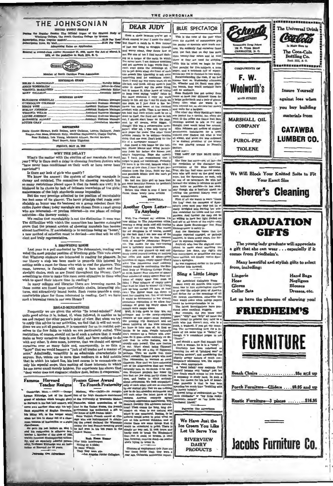| THE JOHNSONIAN |  |
|----------------|--|
|                |  |

#### THE JOHNSONIAN ISSUED EVERY FRIDAY

ing the Regular Sension The Official Organ of the Student B Winthrop College, The South Carolina College for Woman ion Price (regular e \$1.08 Per Yes  $41.80$  Pm

**Helpe Rates on Arm** 

ed as second-class matter November 21, 1923, under the Act of M 1879, at the postoffice in Rock Hill, S. C.



| <b>BUSINESS STAFF</b>                                              |  |
|--------------------------------------------------------------------|--|
|                                                                    |  |
|                                                                    |  |
| BIRGE WISE _____________________________Assistant Business Manager |  |
|                                                                    |  |
|                                                                    |  |
|                                                                    |  |
|                                                                    |  |
|                                                                    |  |

**REPORTERS** 

attic Greene Stewart, Ruth Bethes, Mary Galiman, Lorena Galiway, Jean-Moss, Ettabeth Kelly, Madelhoe Haynaworth, Gladys Guyton, Roze Rudnick, Lois Young, Margert, Aliann, Harviet Morgan, Roze Rudnick, Lois Young, Margert,

#### **FRIDAY, MAY 15, 193** WHY THE DELAY?

What's the matter with the election of our marshals for next year? Why is there such a delay in choosing fourteen Juniors who "have never been conditioned on their work or have never been<br>restricted"?

Is there any lack of girls who qualify?<br>We know the answer: the surfame

We know the answer: the system of selecting marshals is<br>clumsy and outdated. The committee for choosing marshals has so many restrictions placed upon it that its hands are tied; it is hindered in its choice by lack of intimate knowledge of the girls;

interance of the high standards seems impossible.<br>But the very prestige attached to the position of marshalship<br>is lost some of its glamor. The basic principle that made marmas some or the guation. The users principle read and all phone can also a shale<br>hip an honor was its bestown on a group selected from the entire Junior class; today marshals are chosen from a small group<br>who are intereste activities—the literary society.<br>We realize that marshalship is not the distinction it once was

we reaute that internationally is not the uniformal to the extended prove that the present system of choosing marshals has become entangled prove that the present system of choosing marshals has become almost inferencies. cient and truly representative

#### A BROWSING ROOM

Last year in a poll conducted by The Johnsonian, reading was<br>voted the most popular pastime of Winthrop girls. This vote shows views a more presented in reading for pleasure. In our library a step has been made to promote this interest by softing aside a room for those who wish to read for pleasure. This room, however, is furnished with only a bare table and four straight chairs, such as are found throughout the library. Can't **From the contract of the filtre set of the set of the set of the set of the set of the straight chains are from the set of the straight chains are from the straight chains are from the straight chains are found throughou** wish to spend their leisure time in reading?<br>In many colleges and libraries there are browsing rooms. In

in many comes and three comes are found large confortable chairs, interesting pictures, and attractively bound books. Such rooms provide a cosy, comfortable place for those interested in reading. Can't we have such a browsing room in our own library?

#### **BROAD-MINDEDNESS**

Frequently we are given the advice "Be broad-minded!" And quite good advice it is, indeed, if, when followed, it enables us to see and rangest the other person's point of view. But when we try see and rangest the other per Since we are not all geniuses, it is necessary for us to restrict our-<br>selves to the few fields to which we are particularly suited. This<br>restriction, of course, should not be of such a nature that it would reasteroint, a course, movem in the boat state and have nothing to do with any other. It does mean, however, that we should not spread ourselves over so many fields and, consequently, in so thin a ourselves over so many neusa and, consequently, in so time a<br>"layer" that we would become a "jack of all trades and a master of<br>none." Admittedly, versatility is an admirable characteristic in<br>anyono. But, unless one is mo the can never excell merely hobbies. For experience has shown that "deep water does not stagnate; shallow does, before it evaporates."

Famous Harvard<br>Teacher Resigns France Gives Award<br>To French Fraternity

 $H = (APP)$   $-$  George group of scholars which have<br>ghit glory at its particular point in the last half contary, will Zen<br>near a we another class with his hell-kin<br>lant expectiton of English literature source which is<br>leading with, or the tempe

disturbance. <br> He gave help hat lecture on May 1, He gave help had the resignation is effective September of 180, the<br>sector . Member of the class of 180, we<br>widthy core with the class of 180, and a captedly for<br>some shal

Dre Advertis

 $m = \frac{1}{2}$ Cambridge, Mass. - teary - www.southerney does of the high standards maintaned<br>Lyman Elitteries, hast of the famed tion of the University of Wisconsin Maison<br>group of echolates which brought glory at the University of Wis

**Hash House Hur.**<br>Nine little hamburgers

Sitting on a plate; They the

they were ate.<br>-Los Angeles Junior Collegian.

## **DEAR JUDY**

Grab a chair breause you've got a ock coming to you! I made the staff But there's a catch in it. Now instead nd worry about, they throw four at

and warry about, they through four at the second term of the second term of the second and the second term of the second term of the second term of the second term of the second term of the second term of the second term me. For one of 'em I find my-alf dash

paper,<br>save paper<br>"les rer doing that one over. Don't long for the life of a newspaper woman!<br>Just found a ride home for the hol

av. Phone Mi ma and wring pe casy. Prome beams and writing permis-<br>soon from her before she who expects<br>what's happening. Hope she expects<br>me. I have just remembered that I

forgot to pack my toothbrush. Probably<br>I'll leave it in the end, because when I get out of this class. I have to get pe

hission from the Dean, hunt my hat<br>nd persuade Missle that she can't go We had one little girl up here that

or some besuitful flowers for Mother's

lovely news art those

Another Open Letter **To Anybody** 

Well, I've changed my address and the Johnsonian Well. I've changed my address. I'm<br>solve sitting in The Johnsonian office wering a mang and<br>is condition that the relation of the balance rate of the relation<br>of the relation of the relation of the relation of the state<br>i

Have you ever glanced up and sud<br>lenly found yourself looking at nothing denly found yourself looking at nothin<br>but miles and miles of space-greep<br>site ches of vague, empty space? This<br>what 'The Johnsoninn staff sudder<br>realized would be confronting the St ace? That's nting the Stu The Law Commons or empty space<br>that must be filled by whom? III have at least<br>this up long enough I'll have at least<br>two.) The Editor must run down to<br>meet her clogging test. Yet we all know it would be detrimental to her already precarious reputation if we allow four<br>columns of great big empty space to

precarious reputation it we allow noir<br>from the control of general particles of general single space. The<br>state of the state of the state of the state of the state of the<br>state of the state of the state of the state of th  $\sim$  can be start we have solved the particular behavior of particular layer start in the start of the start of the start of the start of the start of the start of the start of the start of the start of the start of the s et lokes of th Apry .,  $erez$ .<br>Dø dy appreciates naturalized **very!**  $\frac{1}{2}$  $\overline{a}$  is the doesn't Dorotky Dix advocate natural-<br>maginary chemical conductions are discussed in the constant and when it one constant<br>and and matural and matural best of the star at this moment thinking, and of<br>the star at this mome round ne unnatural to break the Etimology<br>hardy men to break the Etimo-but it could be braten.<br>he, however, remains dead-n<br>who's trying to break it. ok brave an Hindenburg<br>En A dead

es of employment this June are<br>ses botter than they were a

This is the time of the year when on the staided of contoo pantry to meetate with much a Iv find with the fact that no day has more than twenty-four hours and at least With this in mind we begin to fear that parallel for five subjects, a term<br>paper, and a notebook full of experiments can not be finished in two week.<br>Notwithstanding the rush, if we has ment can not be musned in two weeks.<br>Notwithstanding the rush, if we had<br>known that on Wednesday afternoon.<br>Dr. Wheeler and Dr. Scott were playing tennia, they would co an aquento.<br>as Rudnick has got me  $R$ ome at least four di

a beige pocketbook and a pair of gi  $\frac{1}{2}$ little beyond her, so she eats her n and waits for a bargain

The other day Mary St oldius's new was posted for a special, lal. but wh n ut and that Mrs. Jennings wanted to talk to her and thought that would bring her around Alice Johns on got notices of studen overnment installation for a week out ever finding out what it was all about, and when she was supported by dubbed president of the ser was playing around in Fe

And a THE LART OF THE BLIE SPEC **TATOR** 

The time has come-yes, a -yes, at last the revelation of the character im-<br>permeation of the character im-<br>premeation of the Bias Specialor, True, she has had some asystem assistants<br>anon, but the Specialor, as used, will her one of us never<br>more. Bo with her scter im

mere acquaintance.<br>
There are acquaint and the same state of Berger and the Day and the Caupan in the occupant of Berger tastes taster is the caupan between the sole of down unlate<br>thed for Lienta and her compared of the st of all she v

Sling a Little Lingo

By Associated Collegiate Press at every six months this departnt has to hire etymological experts

the newest expressions, otherwise the time would come when college paper would<br>The be incomprehensible to us.<br>latest lavestigations have pro-

iuced some excellent nuggets.<br>For cample, did you know that

"dilly" and "drip" all mean the same thing? In general they refer to male who just doesn't rate, who is punk, a washout, if you get our mear al they refer to ing. The corresponding term for a fe-<br>male of tha same type is "flatto," al-<br>though it is considered proper to use<br>"floozie."

conte."<br>And should a male find historic tied<br>such a woman, he is in a "tissy".<br>Couriching has been redefined as<br>suling the act of "pitching woo" or<br>suling such<br>or and considering the<br>phily syungy addission of much contents woo" or<br>ing the

temporary adolescent lowe, the expression appropriate.<br>A "whost folds of the expected in the label folds in may suddenly find be<br>there is a base for the local width means be has found by the the consequence<br>in the base of

™w Newest terms of en

Patronise Our Advertis

We Have Just the Ice Cream You Like Let Us Serve You **RIVERVIEW DAIRY** 

**PRODUCTS** 



Rustic Furniture-3 pieces ........\$16.95

**Jacobs Furniture Co.** 

at the University of Wasoccata Matson, contraction of the Euratosian Matson of the Euration of the Euration of the house of d,300 range of the Davis of any experiment has authorized a gift to the house of d,300 range when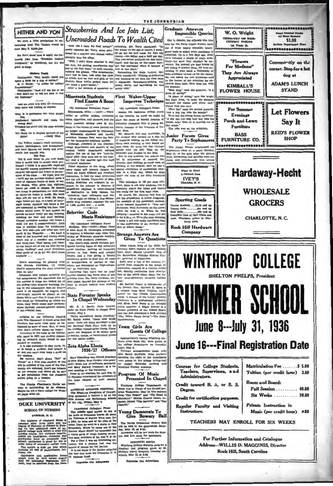**HITHER AND YON** We were a little precipitous in an cemeing that The Tatlers yould t

here May 8. Apolo des. We don't know how to apply the fol-

lowing joke from "Brooklyn College Vanguard," to Winthrop, but it's to od to keep:

## **Modern Youth**<br>andler: "Say, buddy, could you

pare a buck for a cup of coffee?"<br>B. C. Stude: "A dollar for coffee!

e: "Just will me yes or a at don't few to tell me h  $m$  to  $m$ 

## And we print this with the asset

Why is it professors can wear purpl

ad haircuts and costs the cokes, eigarettes, cold showers, and the

spharaid halftune —<br>wrong sim?<br>rousers too short and the color schem

Yet ränne in English beenawe of my<br> $\frac{1}{2}$  recent and the English beenawe of my sixplet scales, a<br>higher the Yellow Jacketts creek mathematical conductions and the figure<br>density when the mathematical creation of the Se

'bulling'', and other diversions<br>iny of us do it? We don't know

Here's something we gleaned from the Flurian<br>they're experience<br>that we are.)<br>Education cing the same situation

on and culture certainly at us. We dis ered this by artions of those few locked out of om Monday morning, Going on the assumption that all women<br>want to be beautiful, we suggest that ing on the assumption that all women<br>want to be beautiful, we suggest that<br>full-length mirrors be phoed at the<br>doors. We're sure that if those dear alsdoors. We're sure that if those dear als<br>ters could see themselves as others so n, they would coase their perform

affair

**State Forester Speaks** 

G. Naudain entertained the member<br>the local chapter at their couples.<br>home.

tes Our Ad

In Chapel Wednesday

term than the university and the term of the main term of the main term in the state of the state of the state of the state of the state of the state of the state of the state of the state of the state of the state of the

ed or expell ed.

ended or expelled.<br>It is also forbidden to play cards, ile. Zeta Alpha Elects<br>at to insult a student, And believe it Zeta Alpha F1026 727 not, yon can't even keep a mule or ne campus.<br>Be careful, don't shout "Rat" or

No carrius, don't about "Nat" of the expelied if the rules of the Unit<br>teach at a first year student or you<br>here enforced. Don't use tobaccust the campus, and above all, be same<br>the campus, and above all, be sure<br>get permi

The Florida Flambeau's Tattle column is outstanding by its absence Maybe its not a State college for Wom. en naper af

## **DUKE UNIVERSITY**

#### **SCHOOL OF NURSING** DUBHAM, N. C.

of the ority, Priday, May 5.<br>
(Amondaled Collegiate Press)<br>
(Amondaled Collegiate Press)<br>
(The halid at Princeton hores all about<br>
the halid at Princeton hores all about the prince of the prince of the<br>  $\frac{1}{2}$  at the v Distance and Cracket Market Park of Cracket and Cracket Distance Distance Distance Distance Distance and Cracket property of the state property of the state property of the state property of the state property of the prope ma, cto

orma, etc.<br>Catalogues and explication forms<br>thich must be filed before August<br>trat for admission September thir-

Uncrowded Roads To Wealth Cited

Strawberries And Ice Join List;

Minnesota Students

(By Associated Collegiate Press)

**URCTOWATER FOODS I O VV CALLIR CHEED**<br>
"Since that I cann my first monogri" ministary, Mr. Terry contributed along the value of the sign of twelve, I work-<br>
showly repeated AF. Terry, when quest- left on the to and make

#### First Waker-Upper<br>Improves Technique **Find Exams A Boon**

#### (By Associated Collegiate Press)

other common devices used by students in the throes of exam periods are Onrin, founder of the Veterans of Fu-

dependently a that its enact properties under the mass of the space case of sets near the mass of an expect in re-<br>
mass accelebis are empaticle as expect in re-<br>
mass accelebis are the space of the same properties and th

**Strange Answers Are** Given To Question

Addis Ababa, king of the Riffs, St Anthony Eden, capt in of the stricken liner, Dixle. Maxim Litvinoff, king of the Bulgariana, Nicholas Murray Butler, governor of Oktahome

**IVACEL ENGEREE RESISTANCE (By Associated Collegiate Press)**<br>Madison, Win-(ACP)-When Dean<br>Madison, Win-(ACP)-When Dean<br>to Improve a technique of World Half and the interpret<br>of the metric of the pressure of the central of Such were a few of the answers re we reset as the<br>b" by fraternity men.<br>Declaring that there was no proof<br>udent conduct was we reived from students in the school of journalism recently in a current event. test. Merrily conti uing their descrip an at any tion of the world about them, the fu is time. The Dally Cardinal, stunews-gath ms revealed fu dent paper, decried the attempt of the<br>dean to extend comtrol over student

Sir Samuel Doare is o he French fleet. Richard E. Byrd re greens reest. Encounts at most refer that the conservation<br>tands for the Illinois Conservation<br>amp, "a branch of the C.C.C." Mickey Cochrane is a professional swimmer<br>and diver. Fred Perry is an intrepid<br>Arctic explorer. J. Edgar Hoover is a<br>former president of the United States and has just completed a<br>"The White House Gang. led a book er -The Dail Northwestern

Town Girls Are<br>Guests Of College

Approximately twenty Winthrop students from Rock Hill, were guests in<br>the college dormitories on Faturday<br>night, May 9. Thi ougo arrangements made with

1936-'37 Officers Mrs. Sarah MaBryde, those students Mary Spaulding was elected president Mary Spaulding was sisted presument of Zeta Alpha; Stars Earper, vice-president; Erms Lee Abundlinson, secretary;<br>and Mary Earper, treasurer, at a re-<br>and Mary Earper, treasurer, at a re-<br>cent meeting of the fraternity. spending the might in the college disling-half<br>rere guests in the college disling-half<br>for supper Saturday evening and<br>preakfast Sunday morning.

#### Program Of Music **Presented In Chapel**

Winthrop College Department of<br>Gusic was in charge of the Chapel pro-<br>mm Wednesday, May 13. The sextette<br>ang "The Rosaar" and "The Road to<br>fandalay." Minnis Greene Moore, or-<br>mint, played "The Squirre!" and "The ALUMNAE SPONSOR FESTIVAL<br>The Winthop Daughters of Orange<br>burg sponsord a festival 1 id by the<br>EUM Avenue and Mellichamp school<br>of the otty, Friday, May 6.

> **Young Democrats To** Give Bowery Ball

The Young Democrata' Bowery Ball<br>will be held in the gymnasium Satur-3.<br>day, May 18, at 9:30.<br>Admission will be ten cents for deno-<br>ers, and five cents for spectators.

SEXTETTE SINGS<br>Winthrop College Sextette sang for a<br>Hospital Day program given at St.<br>Phillip's Marcy Hospital, Tuesday aft-<br>Phillip's Marcy Hospital, Tuesday aft-<br>gracon, May 12, at 3:30.

nise Our Adv

nen for the Furm Credit Bureau have one of those highly scientific intellisuce on some many memasine interesting<br>subjected. Up to a few days ago, these<br>tes's included a couple of catch questhe kind that or uons-the kind that comment<br>wered. You proved you had b<br>not trying to answer them. All cording to plan until a Unive n. All went  $m$ ltw $\alpha$ toronto to plan mind in Oniversity of He was asked the two ovest  $\overline{a}$ to the horror of the sc swered them both. Here they a his az "How long," read the qu now sumplies of string?"<br>"A piece of string," said the bright<br>boy from Towa, "is twice the distance<br>botween the center and either end."

Graduate Answers

**Impossible Queries** 

Out in Omaha, the officials who hire

Think that one own "How far," re d the second question, 'can a dog run into the woods?"<br>To w.vich the young Iowan answered: To when the young rowan unswered<br>what way into the woods. After that, he is running out of<br>the woods." The joke was on the sele

Junior Forum Gives **Party To Sophomores** 

ed th The Ju nior Forum

 $\frac{1}{2}$  are Jumar Forum entertained the Sophomere class at a party Monday May more change and a dancing were childwed and refreshments were levered. What to Give! A Portrait from **IVEY'S**  $\overline{u}$ 



olesale price **Rock Hill Hardware** 

es to Win-

baga. Wholes

# Company WINTHROP COLLEGE **SHELTON PHELPS, President**

W. O. Wright

**HIBO-ODY and HAIR**<br>CUTTING PARLOR

138 Trade St.

"Flowers

For Madame"

They Are Always

Appreciated

**KIMBALL'S** 

**FLOWER HOUSE** 

BREAKERBHESECHCKERBY

For Summer

Evenings

Porch and Lawn

Furniture

**BASS** 

**ENASS**<br>FURNITURE CO.

**CRU** 

**ESSEKCHERHONOSK** 

Conveniently on the

corner. Stop for a hot

dog at

**ADAM'S LUNCH** 

**STAND** 

**Let Flowers** 

Say It

**REID'S FLOWER** 

**SHOP** 

**Hardaway-Hecht** 

**WHOLESALE** 

**GROCERS** 

**CHARLOTTE, N. C.** 

er I'n Summer F<br>heer Male<br>S1.98 **Market Des Des Siers**<br>Rayles Departement Siers<br>The STATE BOOK RESIDENCE DES STATES

 $rac{5}{4}$ 

Courses for College Students, Teachers, Supervisors, and

Instructors.

### TEACHERS MAY ENROLL FOR SIX WEEKS

For Further Information and Catalogue Address-WILLIS D. MAGGINIS, Director **Rock Hill, South Carolina** 





THE JOHNSONIAN